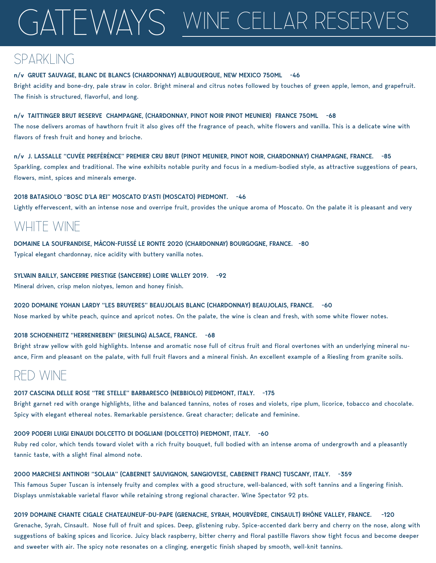# gateways WINE CELLAR RESERVES

## SPARKLING

#### **n/v GRUET SAUVAGE, BLANC DE BLANCS (CHARDONNAY) ALBUQUERQUE, NEW MEXICO 750ML -46**

Bright acidity and bone-dry, pale straw in color. Bright mineral and citrus notes followed by touches of green apple, lemon, and grapefruit. The finish is structured, flavorful, and long.

#### **n/v TAITTINGER BRUT RESERVE CHAMPAGNE, (CHARDONNAY, PINOT NOIR PINOT MEUNIER) FRANCE 750ML -68**

The nose delivers aromas of hawthorn fruit it also gives off the fragrance of peach, white flowers and vanilla. This is a delicate wine with flavors of fresh fruit and honey and brioche.

**n/v J. LASSALLE "CUVÉE PREFÉRÉNCE" PREMIER CRU BRUT (PINOT MEUNIER, PINOT NOIR, CHARDONNAY) CHAMPAGNE, FRANCE. -85** Sparkling, complex and traditional. The wine exhibits notable purity and focus in a medium-bodied style, as attractive suggestions of pears, flowers, mint, spices and minerals emerge.

**2018 BATASIOLO "BOSC D'LA REI" MOSCATO D'ASTI (MOSCATO) PIEDMONT. -46**

Lightly effervescent, with an intense nose and overripe fruit, provides the unique aroma of Moscato. On the palate it is pleasant and very

## WHITE WINE

**DOMAINE LA SOUFRANDISE, MÂCON-FUISSÉ LE RONTE 2020 (CHARDONNAY) BOURGOGNE, FRANCE. -80** 

Typical elegant chardonnay, nice acidity with buttery vanilla notes.

#### **SYLVAIN BAILLY, SANCERRE PRESTIGE (SANCERRE) LOIRE VALLEY 2019. -92**

Mineral driven, crisp melon niotyes, lemon and honey finish.

#### **2020 DOMAINE YOHAN LARDY "LES BRUYERES" BEAUJOLAIS BLANC (CHARDONNAY) BEAUJOLAIS, FRANCE. -60**

Nose marked by white peach, quince and apricot notes. On the palate, the wine is clean and fresh, with some white flower notes.

#### **2018 SCHOENHEITZ "HERRENREBEN" (RIESLING) ALSACE, FRANCE. -68**

Bright straw yellow with gold highlights. Intense and aromatic nose full of citrus fruit and floral overtones with an underlying mineral nuance, Firm and pleasant on the palate, with full fruit flavors and a mineral finish. An excellent example of a Riesling from granite soils.

### RED WINE

#### **2017 CASCINA DELLE ROSE "TRE STELLE" BARBARESCO (NEBBIOLO) PIEDMONT, ITALY. -175**

Bright garnet red with orange highlights, lithe and balanced tannins, notes of roses and violets, ripe plum, licorice, tobacco and chocolate. Spicy with elegant ethereal notes. Remarkable persistence. Great character; delicate and feminine.

#### **2009 PODERI LUIGI EINAUDI DOLCETTO DI DOGLIANI (DOLCETTO) PIEDMONT, ITALY. -60**

Ruby red color, which tends toward violet with a rich fruity bouquet, full bodied with an intense aroma of undergrowth and a pleasantly tannic taste, with a slight final almond note.

#### **2000 MARCHESI ANTINORI "SOLAIA" (CABERNET SAUVIGNON, SANGIOVESE, CABERNET FRANC) TUSCANY, ITALY. -359**

This famous Super Tuscan is intensely fruity and complex with a good structure, well-balanced, with soft tannins and a lingering finish. Displays unmistakable varietal flavor while retaining strong regional character. Wine Spectator 92 pts.

#### **2019 DOMAINE CHANTE CIGALE CHATEAUNEUF-DU-PAPE (GRENACHE, SYRAH, MOURVÈDRE, CINSAULT) RHÔNE VALLEY, FRANCE. -120**

Grenache, Syrah, Cinsault. Nose full of fruit and spices. Deep, glistening ruby. Spice-accented dark berry and cherry on the nose, along with suggestions of baking spices and licorice. Juicy black raspberry, bitter cherry and floral pastille flavors show tight focus and become deeper and sweeter with air. The spicy note resonates on a clinging, energetic finish shaped by smooth, well-knit tannins.